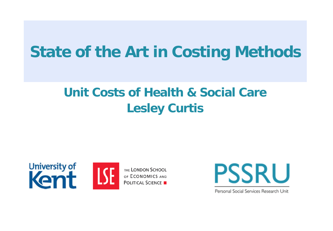# **State of the Art in Costing Methods**

## **Unit Costs of Health & Social Care Lesley Curtis**







Personal Social Services Research Unit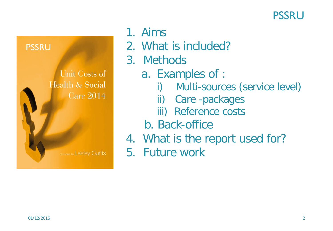



## 1. Aims

- 2. What is included?
- 3. Methods
	- a. Examples of :
		- i) Multi-sources (service level)
		- ii) Care -packages
		- iii) Reference costs
	- b. Back-office
- 4. What is the report used for?
- 5. Future work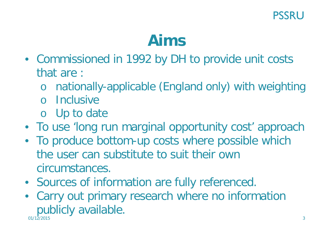# **Aims**

- Commissioned in 1992 by DH to provide unit costs that are :
	- o nationally-applicable (England only) with weighting
	- o Inclusive
	- o Up to date
- To use 'long run marginal opportunity cost' approach
- To produce bottom-up costs where possible which the user can substitute to suit their own circumstances.
- Sources of information are fully referenced.
- $01/12/2015$  3 • Carry out primary research where no information publicly available.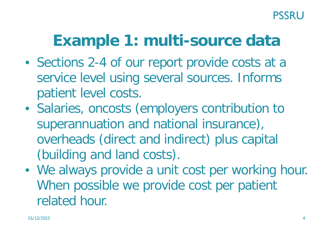# **Example 1: multi-source data**

- Sections 2-4 of our report provide costs at a service level using several sources. Informs patient level costs.
- Salaries, oncosts (employers contribution to superannuation and national insurance), overheads (direct and indirect) plus capital (building and land costs).
- We always provide a unit cost per working hour. When possible we provide cost per patient related hour.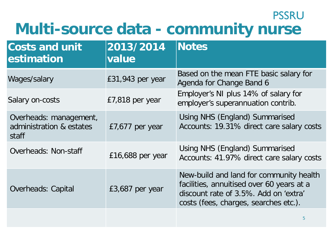## **PSSRU Multi-source data - community nurse**

| <b>Costs and unit</b><br>estimation                         | 2013/2014<br>value | <b>Notes</b>                                                                                                                                                           |
|-------------------------------------------------------------|--------------------|------------------------------------------------------------------------------------------------------------------------------------------------------------------------|
| Wages/salary                                                | £31,943 per year   | Based on the mean FTE basic salary for<br>Agenda for Change Band 6                                                                                                     |
| Salary on-costs                                             | £7,818 per year    | Employer's NI plus 14% of salary for<br>employer's superannuation contrib.                                                                                             |
| Overheads: management,<br>administration & estates<br>staff | £7,677 per year    | Using NHS (England) Summarised<br>Accounts: 19.31% direct care salary costs                                                                                            |
| Overheads: Non-staff                                        | $£16,688$ per year | Using NHS (England) Summarised<br>Accounts: 41.97% direct care salary costs                                                                                            |
| <b>Overheads: Capital</b>                                   | £3,687 per year    | New-build and land for community health<br>facilities, annuitised over 60 years at a<br>discount rate of 3.5%. Add on 'extra'<br>costs (fees, charges, searches etc.). |
|                                                             |                    | $\mathbf b$                                                                                                                                                            |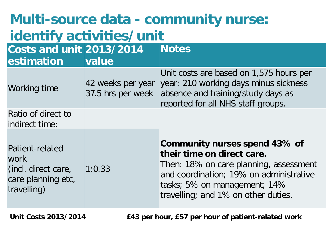| Multi-source data - community nurse:<br>identify activities/unit                    |                   |                                                                                                                                                                                                                         |  |  |  |  |  |  |
|-------------------------------------------------------------------------------------|-------------------|-------------------------------------------------------------------------------------------------------------------------------------------------------------------------------------------------------------------------|--|--|--|--|--|--|
| Costs and unit $2013/2014$<br>estimation                                            | value             | <b>Notes</b>                                                                                                                                                                                                            |  |  |  |  |  |  |
| Working time                                                                        | 42 weeks per year | Unit costs are based on 1,575 hours per<br>year: 210 working days minus sickness<br>37.5 hrs per week absence and training/study days as<br>reported for all NHS staff groups.                                          |  |  |  |  |  |  |
| Ratio of direct to<br>indirect time:                                                |                   |                                                                                                                                                                                                                         |  |  |  |  |  |  |
| Patient-related<br>work<br>(incl. direct care,<br>care planning etc,<br>travelling) | 1:0.33            | Community nurses spend 43% of<br>their time on direct care.<br>Then: 18% on care planning, assessment<br>and coordination; 19% on administrative<br>tasks; 5% on management; 14%<br>travelling; and 1% on other duties. |  |  |  |  |  |  |

**Unit Costs 2013/2014 £43 per hour, £57 per hour of patient-related work**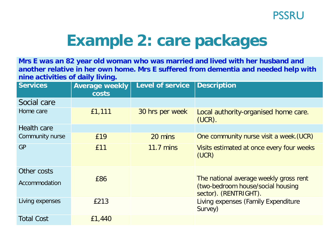

# **Example 2: care packages**

**Mrs E was an 82 year old woman who was married and lived with her husband and another relative in her own home. Mrs E suffered from dementia and needed help with nine activities of daily living.**

| <b>Services</b>              | <b>Average weekly</b><br><b>costs</b> | <b>Level of service</b> | <b>Description</b>                                         |  |  |
|------------------------------|---------------------------------------|-------------------------|------------------------------------------------------------|--|--|
| Social care                  |                                       |                         |                                                            |  |  |
| Home care                    | £1,111                                | 30 hrs per week         | Local authority-organised home care.<br>$(UCR)$ .          |  |  |
| <b>Health care</b>           |                                       |                         |                                                            |  |  |
| Community nurse              | £19                                   | 20 mins                 | One community nurse visit a week. (UCR)                    |  |  |
| <b>GP</b>                    | £11                                   | <b>11.7 mins</b>        | Visits estimated at once every four weeks<br>(UCR)         |  |  |
| Other costs<br>Accommodation | £86                                   |                         | The national average weekly gross rent                     |  |  |
|                              |                                       |                         | (two-bedroom house/social housing<br>sector). (RENTRIGHT). |  |  |
| Living expenses              | £213                                  |                         | Living expenses (Family Expenditure<br>Survey)             |  |  |
| <b>Total Cost</b>            | £1,440                                |                         |                                                            |  |  |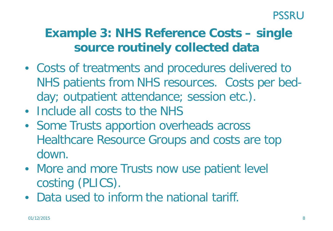## **Example 3: NHS Reference Costs – single source routinely collected data**

- Costs of treatments and procedures delivered to NHS patients from NHS resources. Costs per bedday; outpatient attendance; session etc.).
- Include all costs to the NHS
- Some Trusts apportion overheads across Healthcare Resource Groups and costs are top down.
- More and more Trusts now use patient level costing (PLICS).
- Data used to inform the national tariff.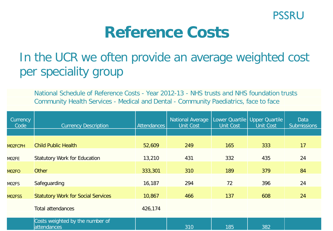

## **Reference Costs**

## In the UCR we often provide an average weighted cost per speciality group

National Schedule of Reference Costs - Year 2012-13 - NHS trusts and NHS foundation trusts Community Health Services - Medical and Dental - Community Paediatrics, face to face

| Currency<br>Code   | <b>Currency Description</b>                    | Attendances | <b>National Average</b><br><b>Unit Cost</b> | <b>Unit Cost</b> | Lower Quartile   Upper Quartile  <br><b>Unit Cost</b> | <b>Data</b><br><b>Submissions</b> |
|--------------------|------------------------------------------------|-------------|---------------------------------------------|------------------|-------------------------------------------------------|-----------------------------------|
|                    |                                                |             |                                             |                  |                                                       |                                   |
| M02FCPH            | <b>Child Public Health</b>                     | 52,609      | 249                                         | 165              | 333                                                   | 17                                |
| MO2FE              | <b>Statutory Work for Education</b>            | 13,210      | 431                                         | 332              | 435                                                   | 24                                |
| M02FO              | <b>Other</b>                                   | 333,301     | 310                                         | 189              | 379                                                   | 84                                |
| MO <sub>2</sub> FS | Safeguarding                                   | 16,187      | 294                                         | 72               | 396                                                   | 24                                |
| MO2FSS             | <b>Statutory Work for Social Services</b>      | 10,867      | 466                                         | 137              | 608                                                   | 24                                |
|                    | <b>Total attendances</b>                       | 426,174     |                                             |                  |                                                       |                                   |
|                    | Costs weighted by the number of<br>attendances |             | 310                                         | 185              | 382                                                   |                                   |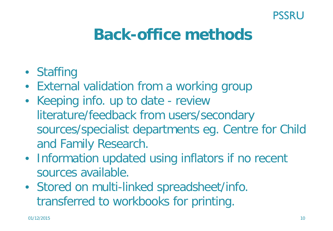#### **PSSRU**

# **Back-office methods**

- Staffing
- External validation from a working group
- Keeping info. up to date review literature/feedback from users/secondary sources/specialist departments eg. Centre for Child and Family Research.
- Information updated using inflators if no recent sources available.
- Stored on multi-linked spreadsheet/info. transferred to workbooks for printing.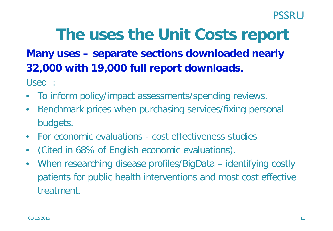# **The uses the Unit Costs report**

### **Many uses – separate sections downloaded nearly 32,000 with 19,000 full report downloads.**

Used :

- To inform policy/impact assessments/spending reviews.
- Benchmark prices when purchasing services/fixing personal budgets.
- For economic evaluations cost effectiveness studies
- (Cited in 68% of English economic evaluations).
- When researching disease profiles/BigData identifying costly patients for public health interventions and most cost effective treatment.